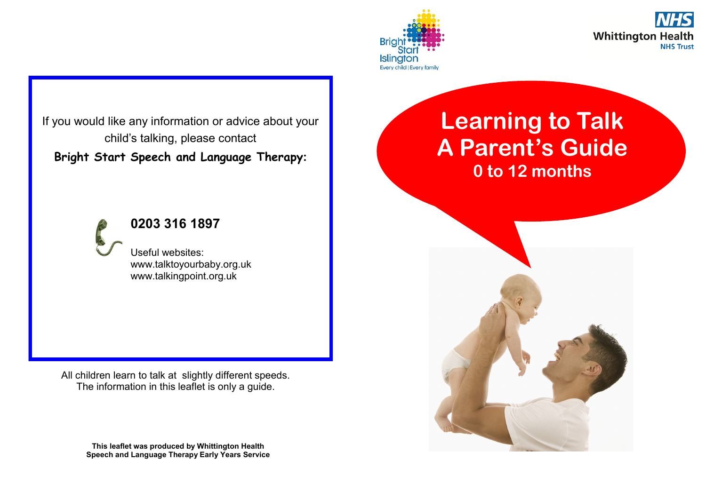



If you would like any information or advice about your child's talking, please contact **Bright Start Speech and Language Therapy:**

**0203 316 1897**

Useful websites: www.talktoyourbaby.org.uk www.talkingpoint.org.uk

All children learn to talk at slightly different speeds. The information in this leaflet is only a guide.

> **This leaflet was produced by Whittington Health Speech and Language Therapy Early Years Service**

## **Learning to Talk A Parent's Guide 0 to 12 months**